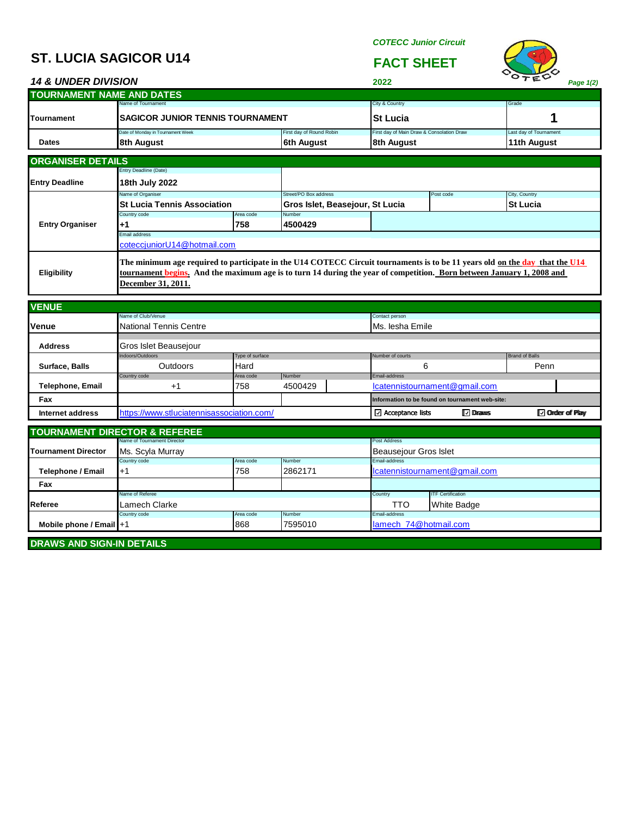## **ST. LUCIA SAGICOR U14 FACT SHEET**

*COTECC Junior Circuit*



| <b>14 &amp; UNDER DIVISION</b>    |                                                                                                                                                                                                                                                                            |                  |                                 | 2022                                            |                                                | <b>COTECL</b>                       | Page 1(2) |
|-----------------------------------|----------------------------------------------------------------------------------------------------------------------------------------------------------------------------------------------------------------------------------------------------------------------------|------------------|---------------------------------|-------------------------------------------------|------------------------------------------------|-------------------------------------|-----------|
| <b>TOURNAMENT NAME AND DATES</b>  |                                                                                                                                                                                                                                                                            |                  |                                 |                                                 |                                                |                                     |           |
|                                   | Name of Tournament                                                                                                                                                                                                                                                         |                  |                                 | City & Country                                  |                                                | Grade                               |           |
| <b>Tournament</b>                 | <b>SAGICOR JUNIOR TENNIS TOURNAMENT</b>                                                                                                                                                                                                                                    |                  | <b>St Lucia</b>                 |                                                 |                                                | 1<br>Last day of Tournament         |           |
| Date of Monday in Tournament Week |                                                                                                                                                                                                                                                                            |                  | First day of Round Robin        |                                                 | First day of Main Draw & Consolation Draw      |                                     |           |
| <b>Dates</b>                      | 8th August                                                                                                                                                                                                                                                                 |                  | <b>6th August</b>               | 8th August                                      |                                                | 11th August                         |           |
| <b>ORGANISER DETAILS</b>          |                                                                                                                                                                                                                                                                            |                  |                                 |                                                 |                                                |                                     |           |
|                                   | Entry Deadline (Date)                                                                                                                                                                                                                                                      |                  |                                 |                                                 |                                                |                                     |           |
| <b>Entry Deadline</b>             | 18th July 2022                                                                                                                                                                                                                                                             |                  |                                 |                                                 |                                                |                                     |           |
|                                   | Name of Organiser                                                                                                                                                                                                                                                          |                  | Street/PO Box address           |                                                 | Post code                                      | City, Country                       |           |
|                                   | <b>St Lucia Tennis Association</b>                                                                                                                                                                                                                                         |                  | Gros Islet, Beasejour, St Lucia |                                                 |                                                | <b>St Lucia</b>                     |           |
| <b>Entry Organiser</b>            | Country code<br>$+1$                                                                                                                                                                                                                                                       | Area code<br>758 | Number<br>4500429               |                                                 |                                                |                                     |           |
|                                   | Email address                                                                                                                                                                                                                                                              |                  |                                 |                                                 |                                                |                                     |           |
|                                   | coteccjuniorU14@hotmail.com                                                                                                                                                                                                                                                |                  |                                 |                                                 |                                                |                                     |           |
| <b>Eligibility</b>                | The minimum age required to participate in the U14 COTECC Circuit tournaments is to be 11 years old on the day that the U14<br>tournament begins. And the maximum age is to turn 14 during the year of competition. Born between January 1, 2008 and<br>December 31, 2011. |                  |                                 |                                                 |                                                |                                     |           |
| <b>VENUE</b>                      |                                                                                                                                                                                                                                                                            |                  |                                 |                                                 |                                                |                                     |           |
|                                   | Name of Club/Venue                                                                                                                                                                                                                                                         |                  |                                 | Contact person                                  |                                                |                                     |           |
| Venue                             | <b>National Tennis Centre</b>                                                                                                                                                                                                                                              |                  |                                 | Ms. Iesha Emile                                 |                                                |                                     |           |
| <b>Address</b>                    | Gros Islet Beausejour                                                                                                                                                                                                                                                      |                  |                                 |                                                 |                                                |                                     |           |
|                                   | Indoors/Outdoors<br>Type of surface                                                                                                                                                                                                                                        |                  |                                 | Number of courts                                |                                                | <b>Brand of Balls</b>               |           |
| Surface, Balls                    | <b>Outdoors</b>                                                                                                                                                                                                                                                            | Hard             |                                 | 6                                               |                                                | Penn                                |           |
| <b>Telephone, Email</b>           | Country code<br>+1                                                                                                                                                                                                                                                         | Area code<br>758 | Number<br>4500429               |                                                 | Email-address<br>lcatennistournament@gmail.com |                                     |           |
| Fax                               |                                                                                                                                                                                                                                                                            |                  |                                 | Information to be found on tournament web-site: |                                                |                                     |           |
|                                   |                                                                                                                                                                                                                                                                            |                  |                                 |                                                 |                                                |                                     |           |
| Internet address                  | https://www.stluciatennisassociation.com/                                                                                                                                                                                                                                  |                  |                                 | □ Acceptance lists                              | <b>IV</b> Draws                                | <b>I</b> <del>v</del> Onder of Play |           |
|                                   | <b>TOURNAMENT DIRECTOR &amp; REFEREE</b>                                                                                                                                                                                                                                   |                  |                                 |                                                 |                                                |                                     |           |
|                                   | Name of Tournament Director                                                                                                                                                                                                                                                |                  |                                 | Post Address                                    |                                                |                                     |           |
| <b>Tournament Director</b>        | Ms. Scyla Murray<br>Country code                                                                                                                                                                                                                                           |                  |                                 | Beausejour Gros Islet                           |                                                |                                     |           |
|                                   | Area code                                                                                                                                                                                                                                                                  | Number           | <b>Email-address</b>            |                                                 |                                                |                                     |           |
| <b>Telephone / Email</b>          | $+1$<br>758                                                                                                                                                                                                                                                                |                  | 2862171                         | lcatennistournament@gmail.com                   |                                                |                                     |           |
| Fax                               |                                                                                                                                                                                                                                                                            |                  |                                 |                                                 |                                                |                                     |           |
|                                   | Vame of Referee                                                                                                                                                                                                                                                            |                  |                                 | Country                                         | <b>ITF Certification</b>                       |                                     |           |
| Referee                           | Lamech Clarke                                                                                                                                                                                                                                                              |                  | Number                          | TTO<br><b>Email-address</b>                     | White Badge                                    |                                     |           |
|                                   | Country code<br>Area code                                                                                                                                                                                                                                                  |                  |                                 | lamech_74@hotmail.com                           |                                                |                                     |           |
| Mobile phone / Email +1           |                                                                                                                                                                                                                                                                            | 868              | 7595010                         |                                                 |                                                |                                     |           |
| <b>DRAWS AND SIGN-IN DETAILS</b>  |                                                                                                                                                                                                                                                                            |                  |                                 |                                                 |                                                |                                     |           |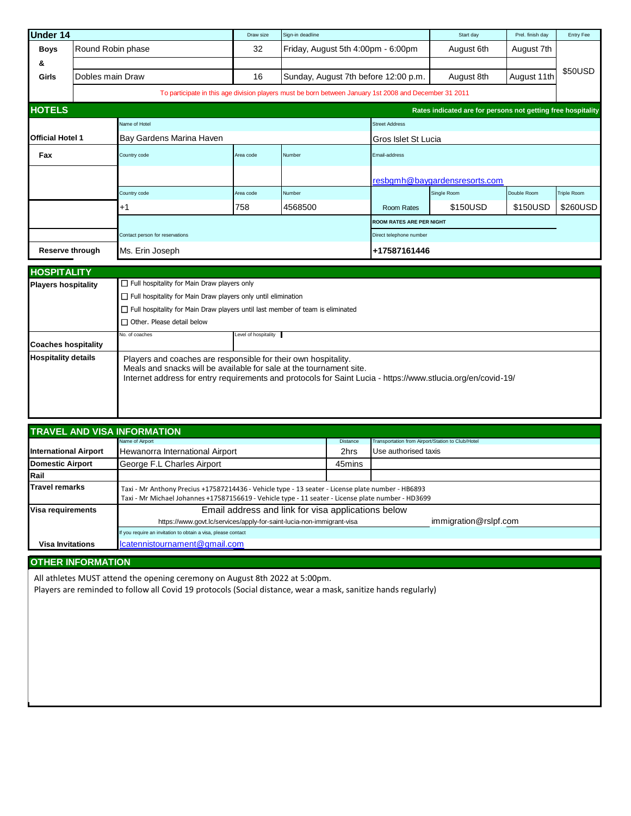| <b>Under 14</b>            |                                                          | Draw size                                                                                                                                                                                                                                             | Sign-in deadline |                                                                                                        | Start day                       | Prel. finish day                                             | Entry Fee   |             |
|----------------------------|----------------------------------------------------------|-------------------------------------------------------------------------------------------------------------------------------------------------------------------------------------------------------------------------------------------------------|------------------|--------------------------------------------------------------------------------------------------------|---------------------------------|--------------------------------------------------------------|-------------|-------------|
| <b>Boys</b>                | Round Robin phase                                        |                                                                                                                                                                                                                                                       | 32               | Friday, August 5th 4:00pm - 6:00pm                                                                     |                                 | August 6th                                                   | August 7th  |             |
| &                          |                                                          |                                                                                                                                                                                                                                                       |                  |                                                                                                        |                                 |                                                              |             |             |
| Girls                      | Dobles main Draw                                         |                                                                                                                                                                                                                                                       | 16               | Sunday, August 7th before 12:00 p.m.                                                                   |                                 | August 8th                                                   | August 11th | \$50USD     |
|                            |                                                          |                                                                                                                                                                                                                                                       |                  | To participate in this age division players must be born between January 1st 2008 and December 31 2011 |                                 |                                                              |             |             |
| <b>HOTELS</b>              |                                                          |                                                                                                                                                                                                                                                       |                  |                                                                                                        |                                 | Rates indicated are for persons not getting free hospitality |             |             |
|                            |                                                          | Name of Hotel                                                                                                                                                                                                                                         |                  |                                                                                                        | <b>Street Address</b>           |                                                              |             |             |
| <b>Official Hotel 1</b>    |                                                          | Bay Gardens Marina Haven                                                                                                                                                                                                                              |                  |                                                                                                        | Gros Islet St Lucia             |                                                              |             |             |
| Fax                        |                                                          | Country code                                                                                                                                                                                                                                          | Area code        | Number                                                                                                 | Email-address                   |                                                              |             |             |
|                            |                                                          |                                                                                                                                                                                                                                                       |                  |                                                                                                        |                                 | resbgmh@baygardensresorts.com                                |             |             |
|                            |                                                          | Country code                                                                                                                                                                                                                                          | Area code        | Number                                                                                                 |                                 | Single Room                                                  | Double Room | Triple Room |
|                            |                                                          | +1                                                                                                                                                                                                                                                    | 758              | 4568500                                                                                                | Room Rates                      | \$150USD                                                     | \$150USD    | \$260USD    |
|                            |                                                          |                                                                                                                                                                                                                                                       |                  |                                                                                                        | <b>ROOM RATES ARE PER NIGHT</b> |                                                              |             |             |
|                            |                                                          | Contact person for reservations                                                                                                                                                                                                                       |                  |                                                                                                        | Direct telephone number         |                                                              |             |             |
|                            | <b>Reserve through</b>                                   | Ms. Erin Joseph                                                                                                                                                                                                                                       |                  | +17587161446                                                                                           |                                 |                                                              |             |             |
| <b>HOSPITALITY</b>         |                                                          |                                                                                                                                                                                                                                                       |                  |                                                                                                        |                                 |                                                              |             |             |
| <b>Players hospitality</b> |                                                          | $\Box$ Full hospitality for Main Draw players only                                                                                                                                                                                                    |                  |                                                                                                        |                                 |                                                              |             |             |
|                            |                                                          | $\Box$ Full hospitality for Main Draw players only until elimination                                                                                                                                                                                  |                  |                                                                                                        |                                 |                                                              |             |             |
|                            |                                                          | $\Box$ Full hospitality for Main Draw players until last member of team is eliminated                                                                                                                                                                 |                  |                                                                                                        |                                 |                                                              |             |             |
|                            |                                                          | $\Box$ Other. Please detail below                                                                                                                                                                                                                     |                  |                                                                                                        |                                 |                                                              |             |             |
|                            | Level of hospitality<br>No. of coaches                   |                                                                                                                                                                                                                                                       |                  |                                                                                                        |                                 |                                                              |             |             |
|                            | <b>Coaches hospitality</b><br><b>Hospitality details</b> |                                                                                                                                                                                                                                                       |                  |                                                                                                        |                                 |                                                              |             |             |
|                            |                                                          | Players and coaches are responsible for their own hospitality.<br>Meals and snacks will be available for sale at the tournament site.<br>Internet address for entry requirements and protocols for Saint Lucia - https://www.stlucia.org/en/covid-19/ |                  |                                                                                                        |                                 |                                                              |             |             |

| <b>TRAVEL AND VISA INFORMATION</b> |                                                                                                                                                                                                         |                 |                                                   |  |  |  |  |
|------------------------------------|---------------------------------------------------------------------------------------------------------------------------------------------------------------------------------------------------------|-----------------|---------------------------------------------------|--|--|--|--|
|                                    | Name of Airport                                                                                                                                                                                         | <b>Distance</b> | Transportation from Airport/Station to Club/Hotel |  |  |  |  |
| <b>International Airport</b>       | Hewanorra International Airport                                                                                                                                                                         | 2hrs            | Use authorised taxis                              |  |  |  |  |
| <b>Domestic Airport</b>            | George F.L Charles Airport                                                                                                                                                                              |                 |                                                   |  |  |  |  |
| <b>Rail</b>                        |                                                                                                                                                                                                         |                 |                                                   |  |  |  |  |
| <b>Travel remarks</b>              | Taxi - Mr Anthony Precius +17587214436 - Vehicle type - 13 seater - License plate number - HB6893<br>Taxi - Mr Michael Johannes +17587156619 - Vehicle type - 11 seater - License plate number - HD3699 |                 |                                                   |  |  |  |  |
| Visa requirements                  | Email address and link for visa applications below                                                                                                                                                      |                 |                                                   |  |  |  |  |
|                                    | immigration@rslpf.com<br>https://www.govt.lc/services/apply-for-saint-lucia-non-immigrant-visa                                                                                                          |                 |                                                   |  |  |  |  |
|                                    | If you require an invitation to obtain a visa, please contact                                                                                                                                           |                 |                                                   |  |  |  |  |
| <b>Visa Invitations</b>            | lcatennistournament@gmail.com                                                                                                                                                                           |                 |                                                   |  |  |  |  |

## **OTHER INFORMATION**

All athletes MUST attend the opening ceremony on August 8th 2022 at 5:00pm.

Players are reminded to follow all Covid 19 protocols (Social distance, wear a mask, sanitize hands regularly)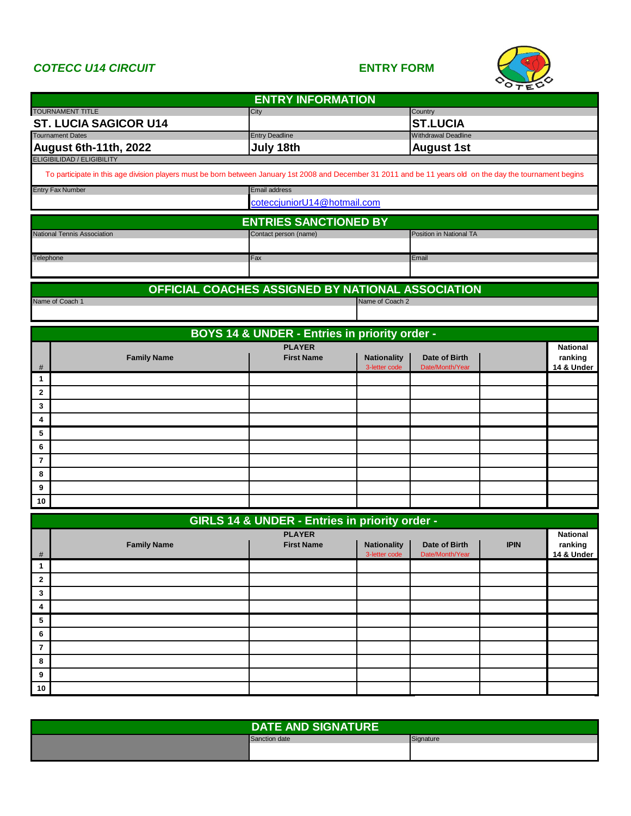## *COTECC U14 CIRCUIT* **ENTRY FORM**



| <b>ENTRY INFORMATION</b>                                                                                                                                    |                                                     |                                     |                                  |                            |                       |  |  |
|-------------------------------------------------------------------------------------------------------------------------------------------------------------|-----------------------------------------------------|-------------------------------------|----------------------------------|----------------------------|-----------------------|--|--|
| <b>TOURNAMENT TITLE</b>                                                                                                                                     | City                                                |                                     | Country                          |                            |                       |  |  |
| <b>ST. LUCIA SAGICOR U14</b>                                                                                                                                |                                                     | <b>ST.LUCIA</b>                     |                                  |                            |                       |  |  |
| <b>Tournament Dates</b><br>August 6th-11th, 2022                                                                                                            | <b>Entry Deadline</b><br>July 18th                  |                                     |                                  | <b>Withdrawal Deadline</b> |                       |  |  |
| <b>ELIGIBILIDAD / ELIGIBILITY</b>                                                                                                                           |                                                     |                                     | <b>August 1st</b>                |                            |                       |  |  |
| To participate in this age division players must be born between January 1st 2008 and December 31 2011 and be 11 years old on the day the tournament begins |                                                     |                                     |                                  |                            |                       |  |  |
| <b>Entry Fax Number</b>                                                                                                                                     | <b>Email address</b><br>coteccjuniorU14@hotmail.com |                                     |                                  |                            |                       |  |  |
|                                                                                                                                                             | <b>ENTRIES SANCTIONED BY</b>                        |                                     |                                  |                            |                       |  |  |
| National Tennis Association                                                                                                                                 | Contact person (name)                               |                                     | Position in National TA          |                            |                       |  |  |
|                                                                                                                                                             |                                                     |                                     |                                  |                            |                       |  |  |
| Telephone                                                                                                                                                   | Fax                                                 |                                     | Email                            |                            |                       |  |  |
|                                                                                                                                                             | OFFICIAL COACHES ASSIGNED BY NATIONAL ASSOCIATION   |                                     |                                  |                            |                       |  |  |
| Name of Coach 1                                                                                                                                             |                                                     | Name of Coach 2                     |                                  |                            |                       |  |  |
|                                                                                                                                                             |                                                     |                                     |                                  |                            |                       |  |  |
|                                                                                                                                                             | BOYS 14 & UNDER - Entries in priority order -       |                                     |                                  |                            |                       |  |  |
|                                                                                                                                                             | <b>PLAYER</b>                                       |                                     |                                  |                            | <b>National</b>       |  |  |
| <b>Family Name</b><br>#                                                                                                                                     | <b>First Name</b>                                   | <b>Nationality</b><br>3-letter code | Date of Birth<br>Date/Month/Year |                            | ranking<br>14 & Under |  |  |
| 1                                                                                                                                                           |                                                     |                                     |                                  |                            |                       |  |  |
| $\overline{2}$                                                                                                                                              |                                                     |                                     |                                  |                            |                       |  |  |
| 3                                                                                                                                                           |                                                     |                                     |                                  |                            |                       |  |  |
| 4                                                                                                                                                           |                                                     |                                     |                                  |                            |                       |  |  |
| 5                                                                                                                                                           |                                                     |                                     |                                  |                            |                       |  |  |
| 6                                                                                                                                                           |                                                     |                                     |                                  |                            |                       |  |  |
| $\overline{7}$                                                                                                                                              |                                                     |                                     |                                  |                            |                       |  |  |
| 8                                                                                                                                                           |                                                     |                                     |                                  |                            |                       |  |  |
| 9                                                                                                                                                           |                                                     |                                     |                                  |                            |                       |  |  |
| 10                                                                                                                                                          |                                                     |                                     |                                  |                            |                       |  |  |
|                                                                                                                                                             | GIRLS 14 & UNDER - Entries in priority order -      |                                     |                                  |                            |                       |  |  |
|                                                                                                                                                             | <b>PLAYER</b>                                       |                                     |                                  |                            | <b>National</b>       |  |  |
| <b>Family Name</b><br>#                                                                                                                                     | <b>First Name</b>                                   | <b>Nationality</b><br>3-letter code | Date of Birth<br>Date/Month/Year | <b>IPIN</b>                | ranking<br>14 & Under |  |  |
| 1                                                                                                                                                           |                                                     |                                     |                                  |                            |                       |  |  |
| $\mathbf{2}$                                                                                                                                                |                                                     |                                     |                                  |                            |                       |  |  |
| 3                                                                                                                                                           |                                                     |                                     |                                  |                            |                       |  |  |
| 4                                                                                                                                                           |                                                     |                                     |                                  |                            |                       |  |  |
| 5                                                                                                                                                           |                                                     |                                     |                                  |                            |                       |  |  |
| 6                                                                                                                                                           |                                                     |                                     |                                  |                            |                       |  |  |
| 7                                                                                                                                                           |                                                     |                                     |                                  |                            |                       |  |  |
| 8                                                                                                                                                           |                                                     |                                     |                                  |                            |                       |  |  |
| 9                                                                                                                                                           |                                                     |                                     |                                  |                            |                       |  |  |
| 10                                                                                                                                                          |                                                     |                                     |                                  |                            |                       |  |  |
|                                                                                                                                                             |                                                     |                                     |                                  |                            |                       |  |  |

| <b>DATE AND SIGNATURE</b> |           |  |  |
|---------------------------|-----------|--|--|
| Sanction date             | Signature |  |  |